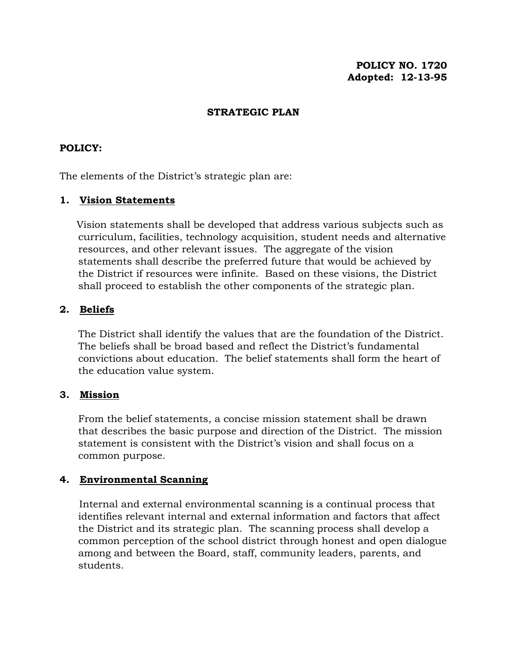**POLICY NO. 1720 Adopted: 12-13-95**

## **STRATEGIC PLAN**

## **POLICY:**

The elements of the District's strategic plan are:

### **1. Vision Statements**

 Vision statements shall be developed that address various subjects such as curriculum, facilities, technology acquisition, student needs and alternative resources, and other relevant issues. The aggregate of the vision statements shall describe the preferred future that would be achieved by the District if resources were infinite. Based on these visions, the District shall proceed to establish the other components of the strategic plan.

### **2. Beliefs**

The District shall identify the values that are the foundation of the District. The beliefs shall be broad based and reflect the District's fundamental convictions about education. The belief statements shall form the heart of the education value system.

#### **3. Mission**

From the belief statements, a concise mission statement shall be drawn that describes the basic purpose and direction of the District. The mission statement is consistent with the District's vision and shall focus on a common purpose.

## **4. Environmental Scanning**

 Internal and external environmental scanning is a continual process that identifies relevant internal and external information and factors that affect the District and its strategic plan. The scanning process shall develop a common perception of the school district through honest and open dialogue among and between the Board, staff, community leaders, parents, and students.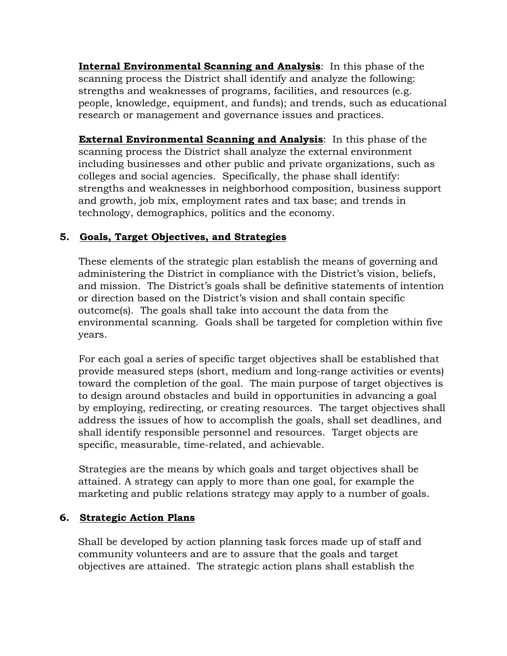**Internal Environmental Scanning and Analysis**: In this phase of the scanning process the District shall identify and analyze the following: strengths and weaknesses of programs, facilities, and resources (e.g. people, knowledge, equipment, and funds); and trends, such as educational research or management and governance issues and practices.

 **External Environmental Scanning and Analysis**: In this phase of the scanning process the District shall analyze the external environment including businesses and other public and private organizations, such as colleges and social agencies. Specifically, the phase shall identify: strengths and weaknesses in neighborhood composition, business support and growth, job mix, employment rates and tax base; and trends in technology, demographics, politics and the economy.

# **5. Goals, Target Objectives, and Strategies**

 These elements of the strategic plan establish the means of governing and administering the District in compliance with the District's vision, beliefs, and mission. The District's goals shall be definitive statements of intention or direction based on the District's vision and shall contain specific outcome(s). The goals shall take into account the data from the environmental scanning. Goals shall be targeted for completion within five years.

 For each goal a series of specific target objectives shall be established that provide measured steps (short, medium and long-range activities or events) toward the completion of the goal. The main purpose of target objectives is to design around obstacles and build in opportunities in advancing a goal by employing, redirecting, or creating resources. The target objectives shall address the issues of how to accomplish the goals, shall set deadlines, and shall identify responsible personnel and resources. Target objects are specific, measurable, time-related, and achievable.

 Strategies are the means by which goals and target objectives shall be attained. A strategy can apply to more than one goal, for example the marketing and public relations strategy may apply to a number of goals.

# **6. Strategic Action Plans**

 Shall be developed by action planning task forces made up of staff and community volunteers and are to assure that the goals and target objectives are attained. The strategic action plans shall establish the